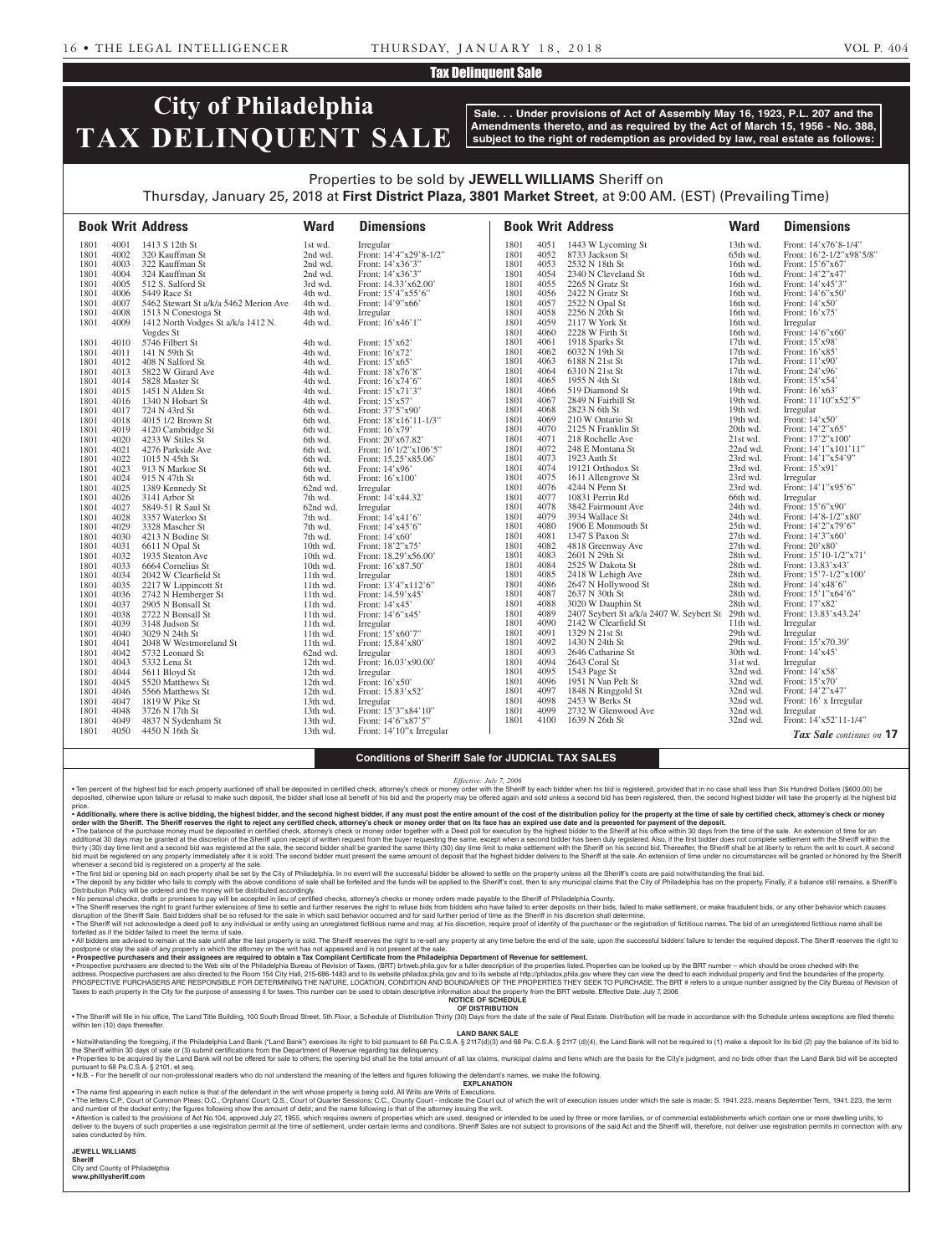### Tax Delinquent Sale

# **City of Philadelphia TAX DELINQUENT SALE**

**Sale. . . Under provisions of Act of Assembly May 16, 1923, P.L. 207 and the Amendments thereto, and as required by the Act of March 15, 1956 - No. 388, subject to the right of redemption as provided by law, real estate as follows:**

## Properties to be sold by **JEWELL WILLIAMS** Sheriff on Thursday, January 25, 2018 at **First District Plaza, 3801 Market Street**, at 9:00 AM. (EST) (Prevailing Time)

|      |      | <b>Book Writ Address</b>              | <b>Ward</b> | <b>Dimensions</b>         |              |              | <b>Book Writ Address</b>                          | <b>Ward</b>          | <b>Dimensions</b>                  |
|------|------|---------------------------------------|-------------|---------------------------|--------------|--------------|---------------------------------------------------|----------------------|------------------------------------|
| 1801 | 4001 | 1413 S 12th St                        | 1st wd.     | Irregular                 | 1801         | 4051         | 1443 W Lycoming St                                | 13th wd.             | Front: 14'x76'8-1/4"               |
| 1801 | 4002 | 320 Kauffman St                       | 2nd wd.     | Front: 14'4"x29'8-1/2"    | 1801         | 4052         | 8733 Jackson St                                   | 65th wd.             | Front: 16'2-1/2"x98'5/8"           |
| 1801 | 4003 | 322 Kauffman St                       | 2nd wd.     | Front: 14'x36'3"          | 1801         | 4053         | 2532 N 18th St                                    | 16th wd.             | Front: 15'6"x67"                   |
| 1801 | 4004 | 324 Kauffman St                       | 2nd wd.     | Front: 14'x36'3"          | 1801         | 4054         | 2340 N Cleveland St                               | 16th wd.             | Front: 14'2"x47'                   |
| 1801 | 4005 | 512 S. Salford St                     | 3rd wd.     | Front: 14.33'x62.00'      | 1801         | 4055         | 2265 N Gratz St                                   | 16th wd.             | Front: 14'x45'3"                   |
| 1801 | 4006 | 5449 Race St                          | 4th wd.     | Front: $15'4''x55'6''$    | 1801         | 4056         | 2422 N Gratz St                                   | 16th wd.             | Front: 14'6"x50"                   |
| 1801 | 4007 | 5462 Stewart St a/k/a 5462 Merion Ave | 4th wd.     | Front: 14'9"x66'          | 1801         | 4057         | 2522 N Opal St                                    | 16th wd.             | Front: 14'x50'                     |
| 1801 | 4008 | 1513 N Conestoga St                   | 4th wd.     | Irregular                 | 1801         | 4058         | 2256 N 20th St                                    | 16th wd.             | Front: 16'x75'                     |
| 1801 | 4009 | 1412 North Vodges St a/k/a 1412 N.    | 4th wd.     | Front: 16'x46'1"          | 1801         | 4059         | 2117 W York St                                    | 16th wd.             | Irregular                          |
|      |      | Vogdes St                             |             |                           | 1801         | 4060         | 2228 W Firth St                                   | 16th wd.             | Front: 14'6"x60"                   |
| 1801 | 4010 | 5746 Filbert St                       | 4th wd.     | Front: 15'x62'            | 1801         | 4061         | 1918 Sparks St                                    | 17th wd.             | Front: 15'x98'                     |
| 1801 | 4011 | 141 N 59th St                         | 4th wd.     | Front: 16'x72'            | 1801         | 4062         | 6032 N 19th St                                    | $17th$ wd.           | Front: 16'x85'                     |
| 1801 | 4012 | 408 N Salford St                      | 4th wd.     | Front: 15'x65'            | 1801         | 4063         | 6188 N 21st St                                    | 17th wd.             | Front: 11'x90'                     |
| 1801 | 4013 | 5822 W Girard Ave                     | 4th wd.     | Front: 18'x76'8"          | 1801         | 4064         | 6310 N 21st St                                    | $17th$ wd.           | Front: 24'x96'                     |
| 1801 | 4014 | 5828 Master St                        | 4th wd.     | Front: 16'x74'6"          | 1801         | 4065         | 1955 N 4th St                                     | 18th wd.             | Front: 15'x54'                     |
| 1801 | 4015 | 1451 N Alden St                       | 4th wd.     | Front: 15'x71'3"          | 1801         | 4066         | 519 Diamond St                                    | 19th wd.             | Front: 16'x63'                     |
| 1801 | 4016 | 1340 N Hobart St                      | 4th wd.     | Front: 15'x57'            | 1801         | 4067         | 2849 N Fairhill St                                | 19th wd.             | Front: 11'10"x52'5"                |
| 1801 | 4017 | 724 N 43rd St                         | 6th wd.     | Front: 37'5"x90'          | 1801         | 4068         | 2823 N 6th St                                     | 19th wd.             | Irregular                          |
| 1801 | 4018 | 4015 1/2 Brown St                     | 6th wd.     | Front: $18'x16'11-1/3"$   | 1801         | 4069         | 210 W Ontario St                                  | 19th wd.             | Front: 14'x50'                     |
| 1801 | 4019 | 4120 Cambridge St                     | 6th wd.     | Front: 16'x79'            | 1801         | 4070         | 2125 N Franklin St                                | 20th wd.             | Front: 14'2"x65'                   |
| 1801 | 4020 | 4233 W Stiles St                      | 6th wd.     | Front: 20'x67.82'         | 1801         | 4071         | 218 Rochelle Ave                                  | 21st wd.             | Front: 17'2"x100"                  |
| 1801 | 4021 | 4276 Parkside Ave                     | 6th wd.     | Front: $16'1/2''x106'5''$ | 1801         | 4072         | 248 E Montana St                                  | 22nd wd.             | Front: $14'1''x101'11''$           |
| 1801 | 4022 | 1015 N 45th St                        | 6th wd.     | Front: 15.25'x85.06'      | 1801         | 4073         | 1923 Auth St                                      | 23rd wd.             | Front: 14'1"x54'9"                 |
| 1801 | 4023 | 913 N Markoe St                       | 6th wd.     | Front: 14'x96'            | 1801         | 4074         | 19121 Orthodox St                                 | 23rd wd.             | Front: 15'x91'                     |
| 1801 | 4024 | 915 N 47th St                         | 6th wd.     | Front: 16'x100'           | 1801         | 4075         | 1611 Allengrove St                                | 23rd wd.             | Irregular                          |
| 1801 | 4025 | 1389 Kennedy St                       | 62nd wd.    | Irregular                 | 1801         | 4076         | 4244 N Penn St                                    | 23rd wd.             | Front: 14'1"x95'6"                 |
| 1801 | 4026 | 3141 Arbor St                         | 7th wd.     | Front: 14'x44.32'         | 1801         | 4077         | 10831 Perrin Rd                                   | 66th wd.             | Irregular                          |
| 1801 | 4027 | 5849-51 R Saul St                     | 62nd wd.    | Irregular                 | 1801         | 4078         | 3842 Fairmount Ave                                | 24th wd.             | Front: 15'6"x90"                   |
| 1801 | 4028 | 3357 Waterloo St                      | 7th wd.     | Front: 14'x41'6"          | 1801         | 4079         | 3934 Wallace St                                   | 24th wd.             | Front: 14'8-1/2"x80'               |
| 1801 | 4029 | 3328 Mascher St                       | 7th wd.     | Front: 14'x45'6"          | 1801         | 4080         | 1906 E Monmouth St                                | 25th wd.             | Front: 14'2"x79'6"                 |
| 1801 | 4030 | 4213 N Bodine St                      | 7th wd.     | Front: 14'x60'            | 1801         | 4081         | 1347 S Paxon St                                   | 27th wd.             | Front: 14'3"x60"                   |
| 1801 | 4031 | 6611 N Opal St                        | 10th wd.    | Front: 18'2"x75'          | 1801         | 4082         | 4818 Greenway Ave                                 | 27th wd.             | Front: 20'x80'                     |
| 1801 | 4032 | 1935 Stenton Ave                      | 10th wd.    | Front: 18.29'x56.00'      | 1801         | 4083         | 2601 N 29th St                                    | 28th wd.             | Front: 15'10-1/2"x71'              |
| 1801 | 4033 | 6664 Cornelius St                     | 10th wd.    | Front: 16'x87.50'         | 1801         | 4084         | 2525 W Dakota St                                  | 28th wd.             | Front: 13.83'x43'                  |
| 1801 | 4034 | 2042 W Clearfield St                  | $11th$ wd.  | Irregular                 | 1801         | 4085         | 2418 W Lehigh Ave                                 | 28th wd.             | Front: 15'7-1/2"x100'              |
| 1801 | 4035 | 2217 W Lippincott St                  | $11th$ wd.  | Front: 13'4"x112'6"       | 1801         | 4086         | 2647 N Hollywood St                               | 28th wd.             | Front: 14'x48'6"                   |
| 1801 | 4036 | 2742 N Hemberger St                   | $11th$ wd.  | Front: 14.59'x45'         | 1801         | 4087         | 2637 N 30th St                                    | 28th wd.             | Front: 15'1"x64'6"                 |
| 1801 | 4037 | 2905 N Bonsall St                     | $11th$ wd.  | Front: $14'x45'$          | 1801         | 4088         | 3020 W Dauphin St                                 | 28th wd.             | Front: 17'x82'                     |
| 1801 | 4038 | 2722 N Bonsall St                     | $11th$ wd.  | Front: 14'6"x45'          | 1801         | 4089         | 2407 Seybert St a/k/a 2407 W. Seybert St 29th wd. |                      | Front: 13.83'x43.24'               |
| 1801 | 4039 | 3148 Judson St                        | 11th wd.    | Irregular                 | 1801         | 4090         | 2142 W Clearfield St                              | 11th wd.             | Irregular                          |
| 1801 | 4040 | 3029 N 24th St                        | $11th$ wd.  | Front: 15'x60'7"          | 1801         | 4091         | 1329 N 21st St                                    | 29th wd.             | Irregular                          |
| 1801 | 4041 | 2048 W Westmoreland St                | 11th wd.    | Front: 15.84'x80'         | 1801         | 4092         | 1430 N 24th St                                    | 29th wd.             | Front: 15'x70.39'                  |
| 1801 | 4042 | 5732 Leonard St                       | 62nd wd.    | Irregular                 | 1801         | 4093         | 2646 Catharine St                                 | 30th wd.             | Front: 14'x45'                     |
| 1801 | 4043 | 5332 Lena St                          | 12th wd.    | Front: 16.03'x90.00'      | 1801         | 4094         | 2643 Coral St                                     | 31st wd.             | Irregular                          |
| 1801 | 4044 | 5611 Bloyd St                         | $12th$ wd.  | Irregular                 | 1801<br>1801 | 4095<br>4096 | 1543 Page St                                      | 32nd wd.<br>32nd wd. | Front: 14'x58'<br>Front: 15'x70'   |
| 1801 | 4045 | 5520 Matthews St                      | 12th wd.    | Front: 16'x50'            | 1801         | 4097         | 1951 N Van Pelt St<br>1848 N Ringgold St          | 32nd wd.             | Front: 14'2"x47'                   |
| 1801 | 4046 | 5566 Matthews St                      | 12th wd.    | Front: 15.83'x52'         |              | 4098         | 2453 W Berks St                                   |                      |                                    |
| 1801 | 4047 | 1819 W Pike St                        | 13th wd.    | Irregular                 | 1801<br>1801 | 4099         | 2732 W Glenwood Ave                               | 32nd wd.             | Front: 16' x Irregular             |
| 1801 | 4048 | 3726 N 17th St                        | $13th$ wd.  | Front: 15'3"x84'10"       | 1801         | 4100         |                                                   | 32nd wd.             | Irregular<br>Front: 14'x52'11-1/4" |
| 1801 | 4049 | 4837 N Sydenham St                    | 13th wd.    | Front: 14'6"x87'5"        |              |              | 1639 N 26th St                                    | 32nd wd.             |                                    |
| 1801 | 4050 | 4450 N 16th St                        | 13th wd.    | Front: 14'10"x Irregular  |              |              |                                                   |                      | Tax Sale continues on 17           |

#### **Conditions of Sheriff Sale for JUDICIAL TAX SALES**

*Effective: July 7, 2006*

• Ten percent of the highest bid for each property auctioned off shall be deposited in certified check, attorney's check or money order with the Sheriff by each bidder when his bid is registered, provided that in no case s price.

• Additionally, where there is active bidding, the highest bidder, and the second highest bidder, if any must post the entire amount of the cost of the distribution policy for the property at the time of sale by certified

∙ The balance of the purchase money must be deposited in certified check, attorney's check or money order together with a Deed poll for execution by the highest bidder to the Sheriff at his office within 30 days from the bid must be registered on any property immediately after it is sold. The second bidder must present the same amount of deposit that the highest bidder delivers to the Sheriff at the sale. An extension of time under no circ whenever a second bid is registered on a property at the sale.

• The first bid or opening bid on each property shall be set by the City of Philadelphia. In no event will the successful bidder be allowed to settle on the property unless all the Sheriff's costs are paid notwithstanding

Distribution Policy will be ordered and the money will be distributed accordingly.<br>• No personal checks, drafts or provided in the accepted in lea corpled in lieu of certified checks, attorney's checks or money orders mad disruption of the Sheriff Sale. Said bidders shall be so refused for the sale in which said behavior occurred and for said further period of time as the Sheriff in his discretion shall determine.<br>• The Sheriff will not ac

forfeited as if the bidder failed to meet the terms of sale. . All bidders are advised to remain at the sale until after the last property is sold. The Sheriff reserves the right to re-sell any property at any time before the end of the sale, upon the successful bidders' failure to

postpone or stay the sale of any property in which the attorney on the writ has not appeared and is not present at the sale.

• Prospective purchasers and their assignees are required to obtain a Tax Compliant Certificate from the Philadelphia Department of Revenue for settlement. Prospective Doloked up by the BRT number – which should be cross c PROSPECTIVE PURCHASERS ARE RESPONSIBLE FOR DETERMINING THE NATURE, LOCATION, CONDITION AND BOUNDARIES OF THE PROPERTIES THEY SEEK TO PURCHASE. The BRT # refers to a unique number assigned by the City Bureau of Revision of

Taxes to each property in the City for the purpose of assessing it for taxes. This number can be used to obtain descriptive information about the property from the BRT website. Effective Date: July 7, 2006 **NOTICE OF SCHEDULE**

**OF DISTRIBUTION**

. The Sheriff will file in his office, The Land Title Building, 100 South Broad Street, 5th Floor, a Schedule of Distribution Thirty (30) Days from the date of the sale of Real Estate. Distribution will be made in accordan

within ten (10) days thereafter

**LAND BANK SALE**

• Notwithstanding the foregoing, if the Philadelphia Land Bank ("Land Bank") exercises its right to bid pursuant to 68 Pa.C.S.A. § 2117(d)(3) and 68 Pa.C.S.A. § 2117 (d)(4), the Land Bank will not be required to (1) make a . Properties to be acquired by the Land Bank will not be offered for sale to others; the opening bid shall be the total amount of all tax claims, municipal claims and liens which are the basis for the City's judgment, and pursuant to 68 Pa.C.S.A. § 2101, et seq.

• N.B. - For the benefit of our non-professional readers who do not understand the meaning of the letters and figures following the defendant's names, we make the following.

**EXPLANATION**  • The name first appearing in each notice is that of the defendant in the writ whose property is being sold. All Writs are Writs of Executions.

. The letters C.P., Court of Common Pleas; O.C., Orphans' Court; Q.S., Court of Quarter Sessions; C.C., County Court - indicate the Court out of which the writ of execution issues under which the sale is made: S. 1941. 223 and number of the docket entry; the figures following show the amount of debt; and the name following is that of the attorney issuing the writ.

• Attention is called to the provisions of Act No.104, approved July 27, 1955, which requires owners of properties which are used, designed or intended to be used by three or more families, or of commercial establishments sales conducted by him.

**JEWELL WILLIAMS Sheriff** 

City and County of Philadelphia **www.phillysheriff.com**